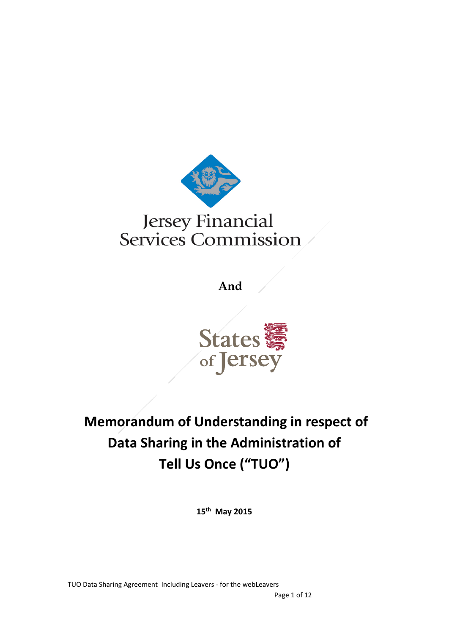

**And** 



# **Memorandum of Understanding in respect of Data Sharing in the Administration of Tell Us Once ("TUO")**

**15th May 2015**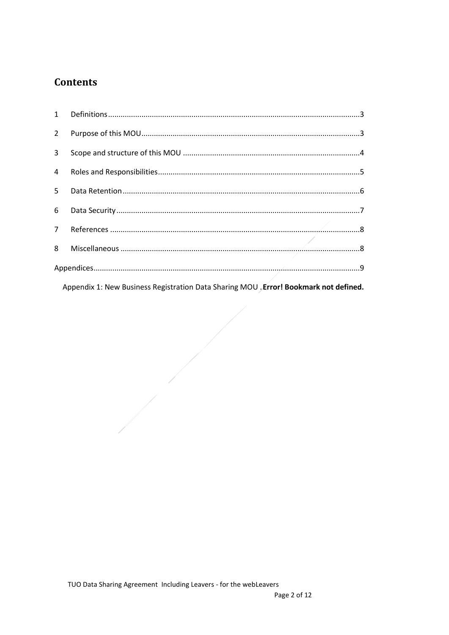# **Contents**

| $2^{\circ}$    |  |  |  |
|----------------|--|--|--|
| 3 <sup>7</sup> |  |  |  |
| 4              |  |  |  |
|                |  |  |  |
|                |  |  |  |
|                |  |  |  |
| 8              |  |  |  |
|                |  |  |  |
|                |  |  |  |

Appendix 1: New Business Registration Data Sharing MOU Error! Bookmark not defined.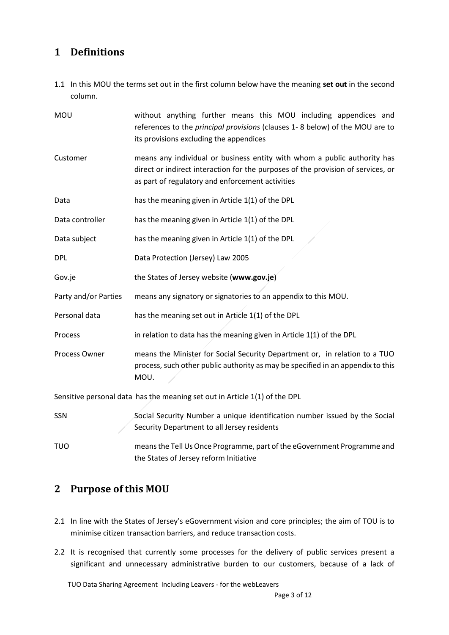# <span id="page-2-0"></span>**1 Definitions**

1.1 In this MOU the terms set out in the first column below have the meaning **set out** in the second column.

| MOU                                                                        | without anything further means this MOU including appendices and<br>references to the principal provisions (clauses 1-8 below) of the MOU are to<br>its provisions excluding the appendices                      |  |  |  |
|----------------------------------------------------------------------------|------------------------------------------------------------------------------------------------------------------------------------------------------------------------------------------------------------------|--|--|--|
| Customer                                                                   | means any individual or business entity with whom a public authority has<br>direct or indirect interaction for the purposes of the provision of services, or<br>as part of regulatory and enforcement activities |  |  |  |
| Data                                                                       | has the meaning given in Article 1(1) of the DPL                                                                                                                                                                 |  |  |  |
| Data controller                                                            | has the meaning given in Article 1(1) of the DPL                                                                                                                                                                 |  |  |  |
| Data subject                                                               | has the meaning given in Article 1(1) of the DPL                                                                                                                                                                 |  |  |  |
| DPL                                                                        | Data Protection (Jersey) Law 2005                                                                                                                                                                                |  |  |  |
| Gov.je                                                                     | the States of Jersey website (www.gov.je)                                                                                                                                                                        |  |  |  |
| Party and/or Parties                                                       | means any signatory or signatories to an appendix to this MOU.                                                                                                                                                   |  |  |  |
| Personal data                                                              | has the meaning set out in Article 1(1) of the DPL                                                                                                                                                               |  |  |  |
| Process                                                                    | in relation to data has the meaning given in Article 1(1) of the DPL                                                                                                                                             |  |  |  |
| Process Owner                                                              | means the Minister for Social Security Department or, in relation to a TUO<br>process, such other public authority as may be specified in an appendix to this<br>MOU.                                            |  |  |  |
| Sensitive personal data has the meaning set out in Article 1(1) of the DPL |                                                                                                                                                                                                                  |  |  |  |
| SSN                                                                        | Social Security Number a unique identification number issued by the Social<br>Security Department to all Jersey residents                                                                                        |  |  |  |
| τυο                                                                        | means the Tell Us Once Programme, part of the eGovernment Programme and<br>the States of Jersey reform Initiative                                                                                                |  |  |  |

# <span id="page-2-1"></span>**2 Purpose of this MOU**

- 2.1 In line with the States of Jersey's eGovernment vision and core principles; the aim of TOU is to minimise citizen transaction barriers, and reduce transaction costs.
- 2.2 It is recognised that currently some processes for the delivery of public services present a significant and unnecessary administrative burden to our customers, because of a lack of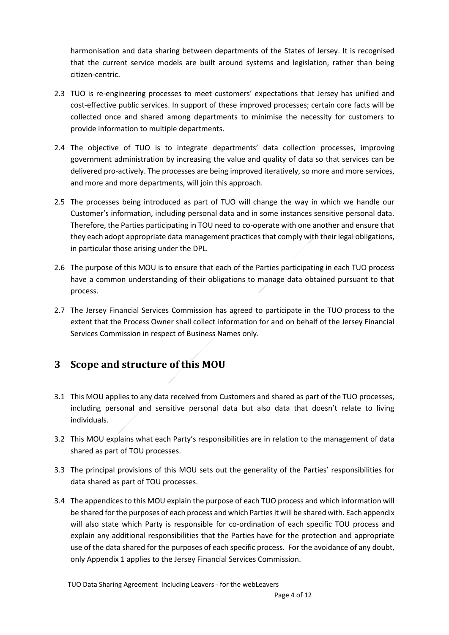harmonisation and data sharing between departments of the States of Jersey. It is recognised that the current service models are built around systems and legislation, rather than being citizen-centric.

- 2.3 TUO is re-engineering processes to meet customers' expectations that Jersey has unified and cost-effective public services. In support of these improved processes; certain core facts will be collected once and shared among departments to minimise the necessity for customers to provide information to multiple departments.
- 2.4 The objective of TUO is to integrate departments' data collection processes, improving government administration by increasing the value and quality of data so that services can be delivered pro-actively. The processes are being improved iteratively, so more and more services, and more and more departments, will join this approach.
- 2.5 The processes being introduced as part of TUO will change the way in which we handle our Customer's information, including personal data and in some instances sensitive personal data. Therefore, the Parties participating in TOU need to co-operate with one another and ensure that they each adopt appropriate data management practices that comply with their legal obligations, in particular those arising under the DPL.
- 2.6 The purpose of this MOU is to ensure that each of the Parties participating in each TUO process have a common understanding of their obligations to manage data obtained pursuant to that process.
- 2.7 The Jersey Financial Services Commission has agreed to participate in the TUO process to the extent that the Process Owner shall collect information for and on behalf of the Jersey Financial Services Commission in respect of Business Names only.

## <span id="page-3-0"></span>**3 Scope and structure of this MOU**

- 3.1 This MOU applies to any data received from Customers and shared as part of the TUO processes, including personal and sensitive personal data but also data that doesn't relate to living individuals.
- 3.2 This MOU explains what each Party's responsibilities are in relation to the management of data shared as part of TOU processes.
- 3.3 The principal provisions of this MOU sets out the generality of the Parties' responsibilities for data shared as part of TOU processes.
- 3.4 The appendices to this MOU explain the purpose of each TUO process and which information will be shared for the purposes of each process and which Parties it will be shared with. Each appendix will also state which Party is responsible for co-ordination of each specific TOU process and explain any additional responsibilities that the Parties have for the protection and appropriate use of the data shared for the purposes of each specific process. For the avoidance of any doubt, only Appendix 1 applies to the Jersey Financial Services Commission.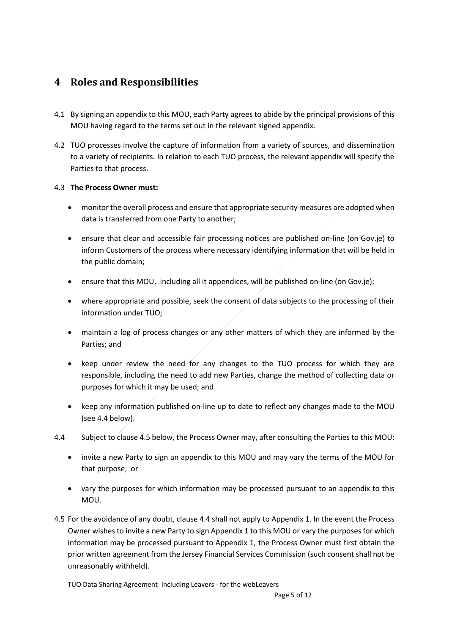### <span id="page-4-0"></span>**4 Roles and Responsibilities**

- 4.1 By signing an appendix to this MOU, each Party agrees to abide by the principal provisions of this MOU having regard to the terms set out in the relevant signed appendix.
- 4.2 TUO processes involve the capture of information from a variety of sources, and dissemination to a variety of recipients. In relation to each TUO process, the relevant appendix will specify the Parties to that process.

### 4.3 **The Process Owner must:**

- monitor the overall process and ensure that appropriate security measures are adopted when data is transferred from one Party to another;
- ensure that clear and accessible fair processing notices are published on-line (on Gov.je) to inform Customers of the process where necessary identifying information that will be held in the public domain;
- ensure that this MOU, including all it appendices, will be published on-line (on Gov.je);
- where appropriate and possible, seek the consent of data subjects to the processing of their information under TUO;
- maintain a log of process changes or any other matters of which they are informed by the Parties; and
- keep under review the need for any changes to the TUO process for which they are responsible, including the need to add new Parties, change the method of collecting data or purposes for which it may be used; and
- keep any information published on-line up to date to reflect any changes made to the MOU (see 4.4 below).
- 4.4 Subject to clause 4.5 below, the Process Owner may, after consulting the Parties to this MOU:
	- invite a new Party to sign an appendix to this MOU and may vary the terms of the MOU for that purpose; or
	- vary the purposes for which information may be processed pursuant to an appendix to this MOU.
- 4.5 For the avoidance of any doubt, clause 4.4 shall not apply to Appendix 1. In the event the Process Owner wishes to invite a new Party to sign Appendix 1 to this MOU or vary the purposes for which information may be processed pursuant to Appendix 1, the Process Owner must first obtain the prior written agreement from the Jersey Financial Services Commission (such consent shall not be unreasonably withheld).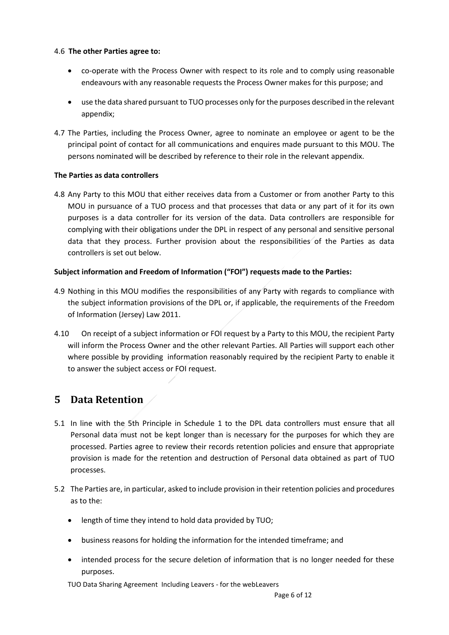#### 4.6 **The other Parties agree to:**

- co-operate with the Process Owner with respect to its role and to comply using reasonable endeavours with any reasonable requests the Process Owner makes for this purpose; and
- use the data shared pursuant to TUO processes only for the purposes described in the relevant appendix;
- 4.7 The Parties, including the Process Owner, agree to nominate an employee or agent to be the principal point of contact for all communications and enquires made pursuant to this MOU. The persons nominated will be described by reference to their role in the relevant appendix.

#### **The Parties as data controllers**

4.8 Any Party to this MOU that either receives data from a Customer or from another Party to this MOU in pursuance of a TUO process and that processes that data or any part of it for its own purposes is a data controller for its version of the data. Data controllers are responsible for complying with their obligations under the DPL in respect of any personal and sensitive personal data that they process. Further provision about the responsibilities of the Parties as data controllers is set out below.

#### **Subject information and Freedom of Information ("FOI") requests made to the Parties:**

- 4.9 Nothing in this MOU modifies the responsibilities of any Party with regards to compliance with the subject information provisions of the DPL or, if applicable, the requirements of the Freedom of Information (Jersey) Law 2011.
- 4.10 On receipt of a subject information or FOI request by a Party to this MOU, the recipient Party will inform the Process Owner and the other relevant Parties. All Parties will support each other where possible by providing information reasonably required by the recipient Party to enable it to answer the subject access or FOI request.

### <span id="page-5-0"></span>**5 Data Retention**

- 5.1 In line with the 5th Principle in Schedule 1 to the DPL data controllers must ensure that all Personal data must not be kept longer than is necessary for the purposes for which they are processed. Parties agree to review their records retention policies and ensure that appropriate provision is made for the retention and destruction of Personal data obtained as part of TUO processes.
- 5.2 The Parties are, in particular, asked to include provision in their retention policies and procedures as to the:
	- length of time they intend to hold data provided by TUO;
	- business reasons for holding the information for the intended timeframe; and
	- intended process for the secure deletion of information that is no longer needed for these purposes.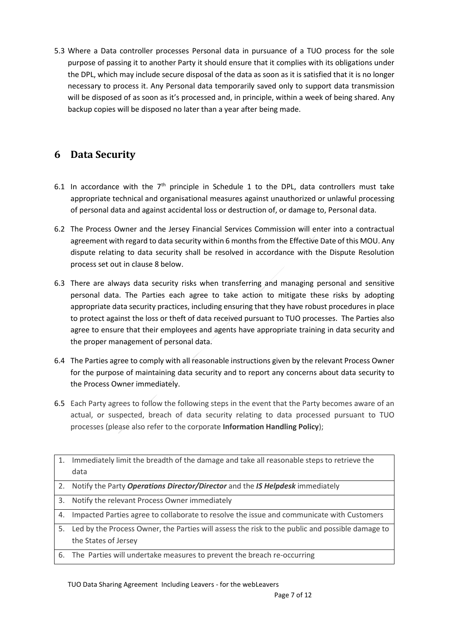5.3 Where a Data controller processes Personal data in pursuance of a TUO process for the sole purpose of passing it to another Party it should ensure that it complies with its obligations under the DPL, which may include secure disposal of the data as soon as it is satisfied that it is no longer necessary to process it. Any Personal data temporarily saved only to support data transmission will be disposed of as soon as it's processed and, in principle, within a week of being shared. Any backup copies will be disposed no later than a year after being made.

### <span id="page-6-0"></span>**6 Data Security**

- 6.1 In accordance with the  $7<sup>th</sup>$  principle in Schedule 1 to the DPL, data controllers must take appropriate technical and organisational measures against unauthorized or unlawful processing of personal data and against accidental loss or destruction of, or damage to, Personal data.
- 6.2 The Process Owner and the Jersey Financial Services Commission will enter into a contractual agreement with regard to data security within 6 months from the Effective Date of this MOU. Any dispute relating to data security shall be resolved in accordance with the Dispute Resolution process set out in clause 8 below.
- 6.3 There are always data security risks when transferring and managing personal and sensitive personal data. The Parties each agree to take action to mitigate these risks by adopting appropriate data security practices, including ensuring that they have robust procedures in place to protect against the loss or theft of data received pursuant to TUO processes. The Parties also agree to ensure that their employees and agents have appropriate training in data security and the proper management of personal data.
- 6.4 The Parties agree to comply with all reasonable instructions given by the relevant Process Owner for the purpose of maintaining data security and to report any concerns about data security to the Process Owner immediately.
- 6.5 Each Party agrees to follow the following steps in the event that the Party becomes aware of an actual, or suspected, breach of data security relating to data processed pursuant to TUO processes (please also refer to the corporate **Information Handling Policy**);

| 1. | Immediately limit the breadth of the damage and take all reasonable steps to retrieve the       |
|----|-------------------------------------------------------------------------------------------------|
|    | data                                                                                            |
|    | 2. Notify the Party Operations Director/Director and the IS Helpdesk immediately                |
| 3. | Notify the relevant Process Owner immediately                                                   |
| 4. | Impacted Parties agree to collaborate to resolve the issue and communicate with Customers       |
| 5. | Led by the Process Owner, the Parties will assess the risk to the public and possible damage to |
|    | the States of Jersey                                                                            |
|    | 6. The Parties will undertake measures to prevent the breach re-occurring                       |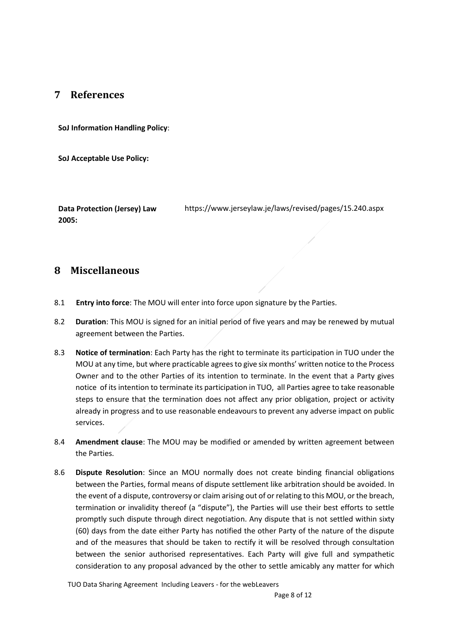### <span id="page-7-0"></span>**7 References**

**SoJ Information Handling Policy**:

**SoJ Acceptable Use Policy:**

**Data Protection (Jersey) Law 2005:** https://www.jerseylaw.je/laws/revised/pages/15.240.aspx

### <span id="page-7-1"></span>**8 Miscellaneous**

- 8.1 **Entry into force**: The MOU will enter into force upon signature by the Parties.
- 8.2 **Duration**: This MOU is signed for an initial period of five years and may be renewed by mutual agreement between the Parties.
- 8.3 **Notice of termination**: Each Party has the right to terminate its participation in TUO under the MOU at any time, but where practicable agrees to give six months' written notice to the Process Owner and to the other Parties of its intention to terminate. In the event that a Party gives notice of its intention to terminate its participation in TUO, all Parties agree to take reasonable steps to ensure that the termination does not affect any prior obligation, project or activity already in progress and to use reasonable endeavours to prevent any adverse impact on public services.
- 8.4 **Amendment clause**: The MOU may be modified or amended by written agreement between the Parties.
- 8.6 **Dispute Resolution**: Since an MOU normally does not create binding financial obligations between the Parties, formal means of dispute settlement like arbitration should be avoided. In the event of a dispute, controversy or claim arising out of or relating to this MOU, or the breach, termination or invalidity thereof (a "dispute"), the Parties will use their best efforts to settle promptly such dispute through direct negotiation. Any dispute that is not settled within sixty (60) days from the date either Party has notified the other Party of the nature of the dispute and of the measures that should be taken to rectify it will be resolved through consultation between the senior authorised representatives. Each Party will give full and sympathetic consideration to any proposal advanced by the other to settle amicably any matter for which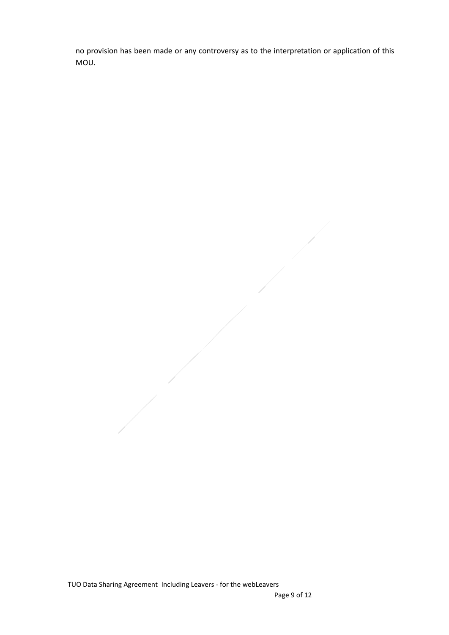no provision has been made or any controversy as to the interpretation or application of this MOU.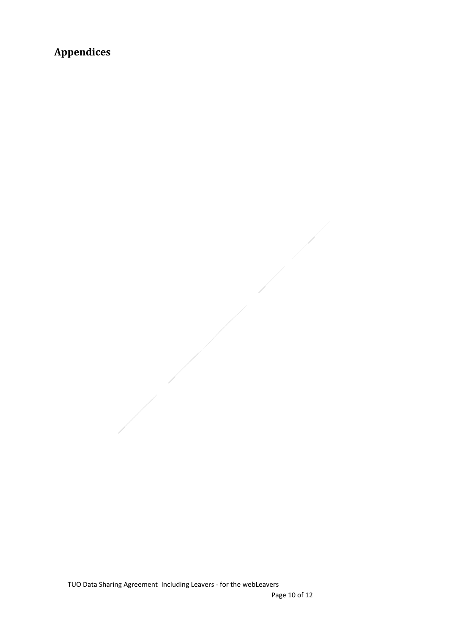# <span id="page-9-0"></span>**Appendices**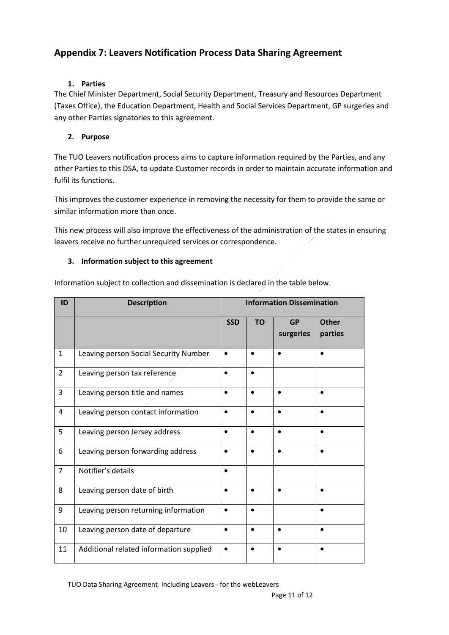### **Appendix 7: Leavers Notification Process Data Sharing Agreement**

#### **1. Parties**

The Chief Minister Department, Social Security Department, Treasury and Resources Department (Taxes Office), the Education Department, Health and Social Services Department, GP surgeries and any other Parties signatories to this agreement.

### **2. Purpose**

The TUO Leavers notification process aims to capture information required by the Parties, and any other Parties to this DSA, to update Customer records in order to maintain accurate information and fulfil its functions.

This improves the customer experience in removing the necessity for them to provide the same or similar information more than once.

This new process will also improve the effectiveness of the administration of the states in ensuring leavers receive no further unrequired services or correspondence.

### **3. Information subject to this agreement**

Information subject to collection and dissemination is declared in the table below.

| ID             | <b>Description</b>                      | <b>Information Dissemination</b> |           |                        |                         |
|----------------|-----------------------------------------|----------------------------------|-----------|------------------------|-------------------------|
|                |                                         | <b>SSD</b>                       | <b>TO</b> | <b>GP</b><br>surgeries | <b>Other</b><br>parties |
| $\mathbf{1}$   | Leaving person Social Security Number   |                                  |           |                        |                         |
| $\overline{2}$ | Leaving person tax reference            |                                  |           |                        |                         |
| $\overline{3}$ | Leaving person title and names          | $\bullet$                        | $\bullet$ | $\bullet$              | $\bullet$               |
| $\overline{4}$ | Leaving person contact information      |                                  |           |                        |                         |
| 5              | Leaving person Jersey address           |                                  | $\bullet$ | $\bullet$              | $\bullet$               |
| 6              | Leaving person forwarding address       | $\bullet$                        |           | $\bullet$              |                         |
| $\overline{7}$ | Notifier's details                      | $\bullet$                        |           |                        |                         |
| 8              | Leaving person date of birth            | $\bullet$                        | $\bullet$ | $\bullet$              |                         |
| 9              | Leaving person returning information    |                                  |           |                        |                         |
| 10             | Leaving person date of departure        | $\bullet$                        | $\bullet$ | $\bullet$              | $\bullet$               |
| 11             | Additional related information supplied |                                  |           |                        |                         |